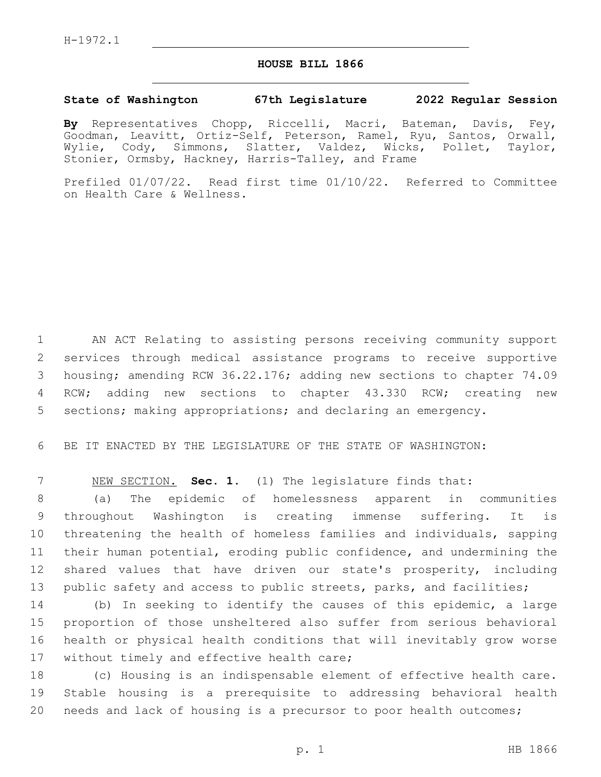## **HOUSE BILL 1866**

## **State of Washington 67th Legislature 2022 Regular Session**

**By** Representatives Chopp, Riccelli, Macri, Bateman, Davis, Fey, Goodman, Leavitt, Ortiz-Self, Peterson, Ramel, Ryu, Santos, Orwall, Wylie, Cody, Simmons, Slatter, Valdez, Wicks, Pollet, Taylor, Stonier, Ormsby, Hackney, Harris-Talley, and Frame

Prefiled 01/07/22. Read first time 01/10/22. Referred to Committee on Health Care & Wellness.

 AN ACT Relating to assisting persons receiving community support services through medical assistance programs to receive supportive housing; amending RCW 36.22.176; adding new sections to chapter 74.09 RCW; adding new sections to chapter 43.330 RCW; creating new sections; making appropriations; and declaring an emergency.

BE IT ENACTED BY THE LEGISLATURE OF THE STATE OF WASHINGTON:

NEW SECTION. **Sec. 1.** (1) The legislature finds that:

 (a) The epidemic of homelessness apparent in communities throughout Washington is creating immense suffering. It is threatening the health of homeless families and individuals, sapping their human potential, eroding public confidence, and undermining the shared values that have driven our state's prosperity, including public safety and access to public streets, parks, and facilities;

 (b) In seeking to identify the causes of this epidemic, a large proportion of those unsheltered also suffer from serious behavioral health or physical health conditions that will inevitably grow worse 17 without timely and effective health care;

 (c) Housing is an indispensable element of effective health care. Stable housing is a prerequisite to addressing behavioral health needs and lack of housing is a precursor to poor health outcomes;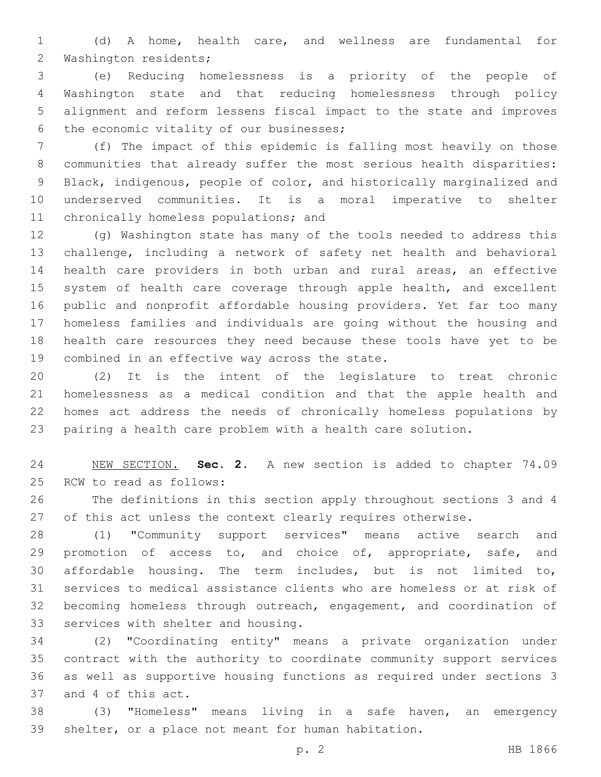(d) A home, health care, and wellness are fundamental for 2 Washington residents;

 (e) Reducing homelessness is a priority of the people of Washington state and that reducing homelessness through policy alignment and reform lessens fiscal impact to the state and improves 6 the economic vitality of our businesses;

 (f) The impact of this epidemic is falling most heavily on those communities that already suffer the most serious health disparities: Black, indigenous, people of color, and historically marginalized and underserved communities. It is a moral imperative to shelter 11 chronically homeless populations; and

 (g) Washington state has many of the tools needed to address this challenge, including a network of safety net health and behavioral health care providers in both urban and rural areas, an effective 15 system of health care coverage through apple health, and excellent public and nonprofit affordable housing providers. Yet far too many homeless families and individuals are going without the housing and health care resources they need because these tools have yet to be 19 combined in an effective way across the state.

 (2) It is the intent of the legislature to treat chronic homelessness as a medical condition and that the apple health and homes act address the needs of chronically homeless populations by pairing a health care problem with a health care solution.

 NEW SECTION. **Sec. 2.** A new section is added to chapter 74.09 25 RCW to read as follows:

 The definitions in this section apply throughout sections 3 and 4 27 of this act unless the context clearly requires otherwise.

 (1) "Community support services" means active search and 29 promotion of access to, and choice of, appropriate, safe, and affordable housing. The term includes, but is not limited to, services to medical assistance clients who are homeless or at risk of becoming homeless through outreach, engagement, and coordination of 33 services with shelter and housing.

 (2) "Coordinating entity" means a private organization under contract with the authority to coordinate community support services as well as supportive housing functions as required under sections 3 37 and 4 of this act.

 (3) "Homeless" means living in a safe haven, an emergency shelter, or a place not meant for human habitation.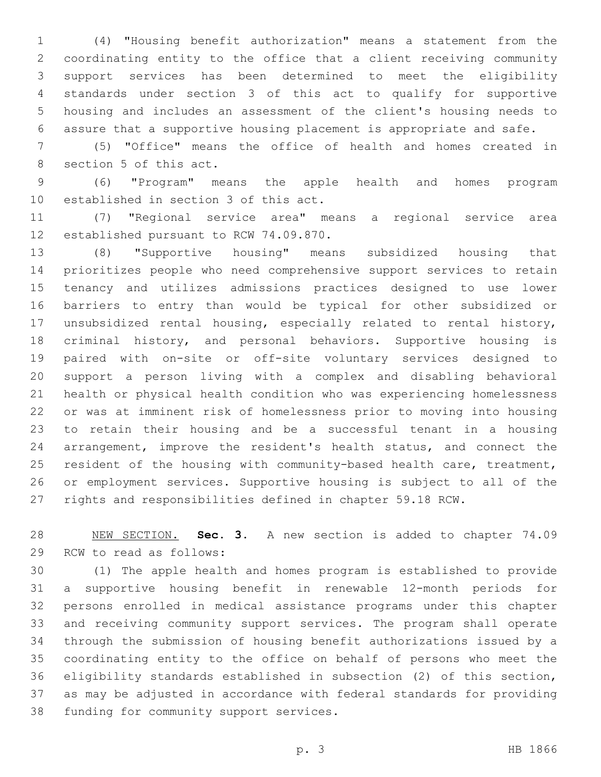(4) "Housing benefit authorization" means a statement from the coordinating entity to the office that a client receiving community support services has been determined to meet the eligibility standards under section 3 of this act to qualify for supportive housing and includes an assessment of the client's housing needs to assure that a supportive housing placement is appropriate and safe.

 (5) "Office" means the office of health and homes created in 8 section 5 of this act.

 (6) "Program" means the apple health and homes program established in section 3 of this act.

 (7) "Regional service area" means a regional service area 12 established pursuant to RCW 74.09.870.

 (8) "Supportive housing" means subsidized housing that prioritizes people who need comprehensive support services to retain tenancy and utilizes admissions practices designed to use lower barriers to entry than would be typical for other subsidized or unsubsidized rental housing, especially related to rental history, criminal history, and personal behaviors. Supportive housing is paired with on-site or off-site voluntary services designed to support a person living with a complex and disabling behavioral health or physical health condition who was experiencing homelessness or was at imminent risk of homelessness prior to moving into housing to retain their housing and be a successful tenant in a housing arrangement, improve the resident's health status, and connect the resident of the housing with community-based health care, treatment, or employment services. Supportive housing is subject to all of the rights and responsibilities defined in chapter 59.18 RCW.

 NEW SECTION. **Sec. 3.** A new section is added to chapter 74.09 29 RCW to read as follows:

 (1) The apple health and homes program is established to provide a supportive housing benefit in renewable 12-month periods for persons enrolled in medical assistance programs under this chapter and receiving community support services. The program shall operate through the submission of housing benefit authorizations issued by a coordinating entity to the office on behalf of persons who meet the eligibility standards established in subsection (2) of this section, as may be adjusted in accordance with federal standards for providing 38 funding for community support services.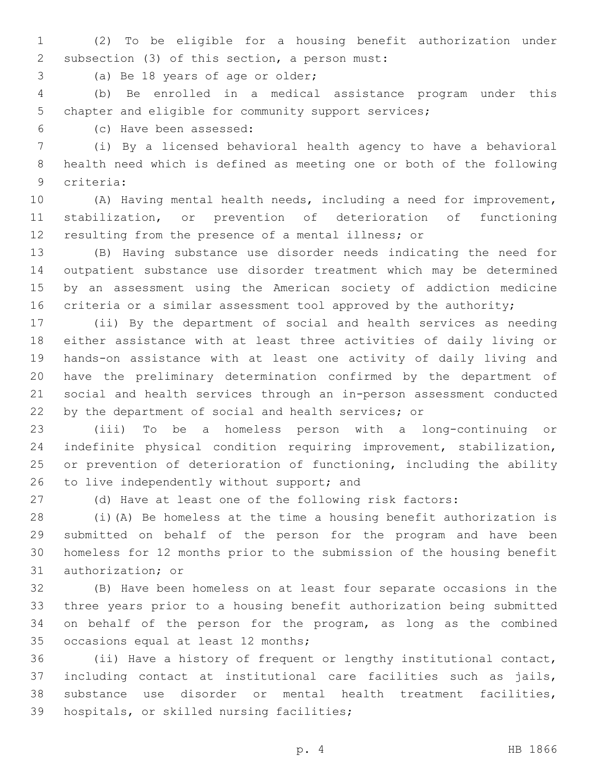(2) To be eligible for a housing benefit authorization under 2 subsection (3) of this section, a person must:

3 (a) Be 18 years of age or older;

 (b) Be enrolled in a medical assistance program under this chapter and eligible for community support services;

(c) Have been assessed:6

 (i) By a licensed behavioral health agency to have a behavioral health need which is defined as meeting one or both of the following criteria:9

 (A) Having mental health needs, including a need for improvement, stabilization, or prevention of deterioration of functioning resulting from the presence of a mental illness; or

 (B) Having substance use disorder needs indicating the need for outpatient substance use disorder treatment which may be determined by an assessment using the American society of addiction medicine criteria or a similar assessment tool approved by the authority;

 (ii) By the department of social and health services as needing either assistance with at least three activities of daily living or hands-on assistance with at least one activity of daily living and have the preliminary determination confirmed by the department of social and health services through an in-person assessment conducted by the department of social and health services; or

 (iii) To be a homeless person with a long-continuing or indefinite physical condition requiring improvement, stabilization, or prevention of deterioration of functioning, including the ability 26 to live independently without support; and

(d) Have at least one of the following risk factors:

 (i)(A) Be homeless at the time a housing benefit authorization is submitted on behalf of the person for the program and have been homeless for 12 months prior to the submission of the housing benefit 31 authorization; or

 (B) Have been homeless on at least four separate occasions in the three years prior to a housing benefit authorization being submitted on behalf of the person for the program, as long as the combined 35 occasions equal at least 12 months;

 (ii) Have a history of frequent or lengthy institutional contact, including contact at institutional care facilities such as jails, substance use disorder or mental health treatment facilities, 39 hospitals, or skilled nursing facilities;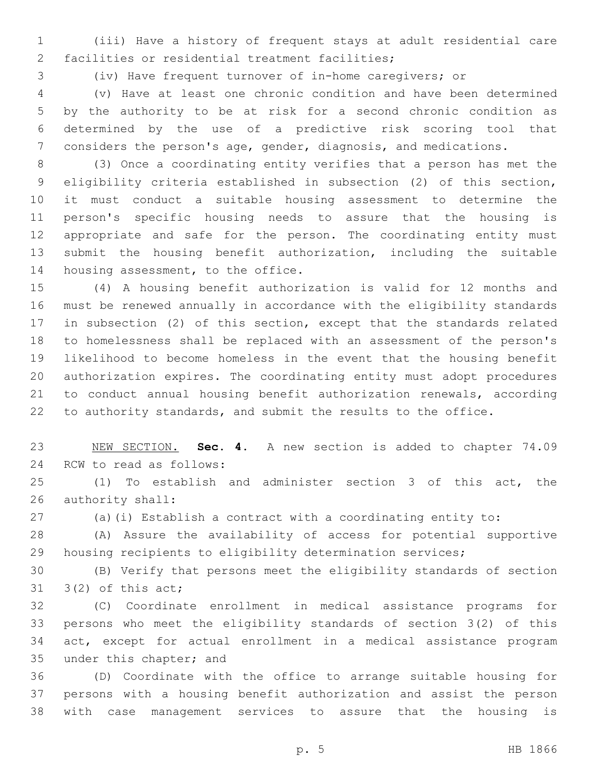(iii) Have a history of frequent stays at adult residential care 2 facilities or residential treatment facilities;

(iv) Have frequent turnover of in-home caregivers; or

 (v) Have at least one chronic condition and have been determined by the authority to be at risk for a second chronic condition as determined by the use of a predictive risk scoring tool that considers the person's age, gender, diagnosis, and medications.

 (3) Once a coordinating entity verifies that a person has met the eligibility criteria established in subsection (2) of this section, it must conduct a suitable housing assessment to determine the person's specific housing needs to assure that the housing is appropriate and safe for the person. The coordinating entity must submit the housing benefit authorization, including the suitable 14 housing assessment, to the office.

 (4) A housing benefit authorization is valid for 12 months and must be renewed annually in accordance with the eligibility standards in subsection (2) of this section, except that the standards related to homelessness shall be replaced with an assessment of the person's likelihood to become homeless in the event that the housing benefit authorization expires. The coordinating entity must adopt procedures to conduct annual housing benefit authorization renewals, according to authority standards, and submit the results to the office.

 NEW SECTION. **Sec. 4.** A new section is added to chapter 74.09 24 RCW to read as follows:

 (1) To establish and administer section 3 of this act, the 26 authority shall:

(a)(i) Establish a contract with a coordinating entity to:

 (A) Assure the availability of access for potential supportive housing recipients to eligibility determination services;

 (B) Verify that persons meet the eligibility standards of section  $3(2)$  of this act;

 (C) Coordinate enrollment in medical assistance programs for persons who meet the eligibility standards of section 3(2) of this act, except for actual enrollment in a medical assistance program 35 under this chapter; and

 (D) Coordinate with the office to arrange suitable housing for persons with a housing benefit authorization and assist the person with case management services to assure that the housing is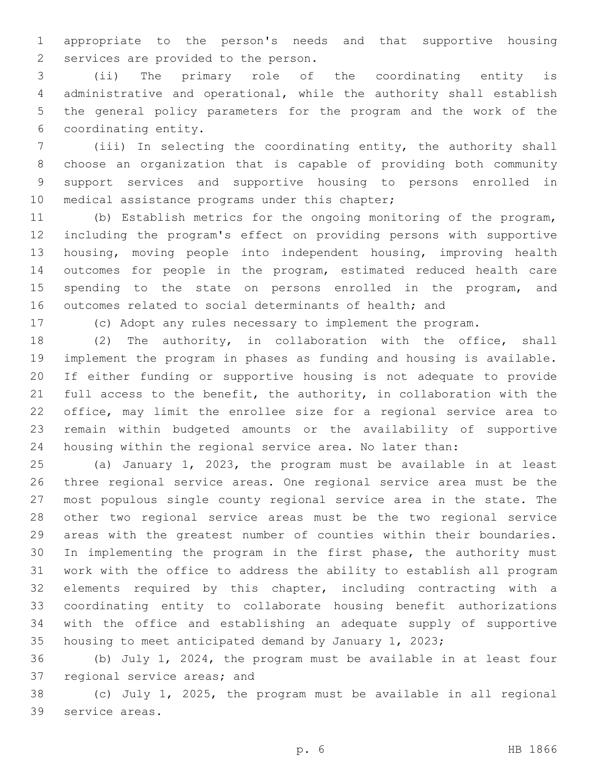appropriate to the person's needs and that supportive housing 2 services are provided to the person.

 (ii) The primary role of the coordinating entity is administrative and operational, while the authority shall establish the general policy parameters for the program and the work of the coordinating entity.6

 (iii) In selecting the coordinating entity, the authority shall choose an organization that is capable of providing both community support services and supportive housing to persons enrolled in 10 medical assistance programs under this chapter;

 (b) Establish metrics for the ongoing monitoring of the program, including the program's effect on providing persons with supportive housing, moving people into independent housing, improving health outcomes for people in the program, estimated reduced health care 15 spending to the state on persons enrolled in the program, and outcomes related to social determinants of health; and

(c) Adopt any rules necessary to implement the program.

 (2) The authority, in collaboration with the office, shall implement the program in phases as funding and housing is available. If either funding or supportive housing is not adequate to provide full access to the benefit, the authority, in collaboration with the office, may limit the enrollee size for a regional service area to remain within budgeted amounts or the availability of supportive housing within the regional service area. No later than:

 (a) January 1, 2023, the program must be available in at least three regional service areas. One regional service area must be the most populous single county regional service area in the state. The other two regional service areas must be the two regional service areas with the greatest number of counties within their boundaries. In implementing the program in the first phase, the authority must work with the office to address the ability to establish all program elements required by this chapter, including contracting with a coordinating entity to collaborate housing benefit authorizations with the office and establishing an adequate supply of supportive housing to meet anticipated demand by January 1, 2023;

 (b) July 1, 2024, the program must be available in at least four 37 regional service areas; and

 (c) July 1, 2025, the program must be available in all regional 39 service areas.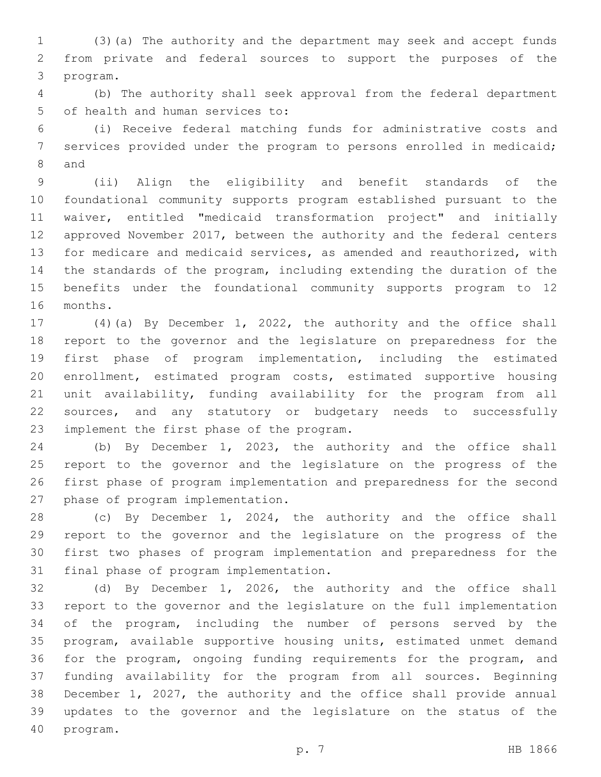(3)(a) The authority and the department may seek and accept funds from private and federal sources to support the purposes of the 3 program.

 (b) The authority shall seek approval from the federal department 5 of health and human services to:

 (i) Receive federal matching funds for administrative costs and services provided under the program to persons enrolled in medicaid; 8 and

 (ii) Align the eligibility and benefit standards of the foundational community supports program established pursuant to the waiver, entitled "medicaid transformation project" and initially approved November 2017, between the authority and the federal centers for medicare and medicaid services, as amended and reauthorized, with the standards of the program, including extending the duration of the benefits under the foundational community supports program to 12 16 months.

 (4)(a) By December 1, 2022, the authority and the office shall report to the governor and the legislature on preparedness for the first phase of program implementation, including the estimated enrollment, estimated program costs, estimated supportive housing unit availability, funding availability for the program from all sources, and any statutory or budgetary needs to successfully 23 implement the first phase of the program.

 (b) By December 1, 2023, the authority and the office shall report to the governor and the legislature on the progress of the first phase of program implementation and preparedness for the second 27 phase of program implementation.

 (c) By December 1, 2024, the authority and the office shall report to the governor and the legislature on the progress of the first two phases of program implementation and preparedness for the 31 final phase of program implementation.

 (d) By December 1, 2026, the authority and the office shall report to the governor and the legislature on the full implementation of the program, including the number of persons served by the program, available supportive housing units, estimated unmet demand for the program, ongoing funding requirements for the program, and funding availability for the program from all sources. Beginning December 1, 2027, the authority and the office shall provide annual updates to the governor and the legislature on the status of the 40 program.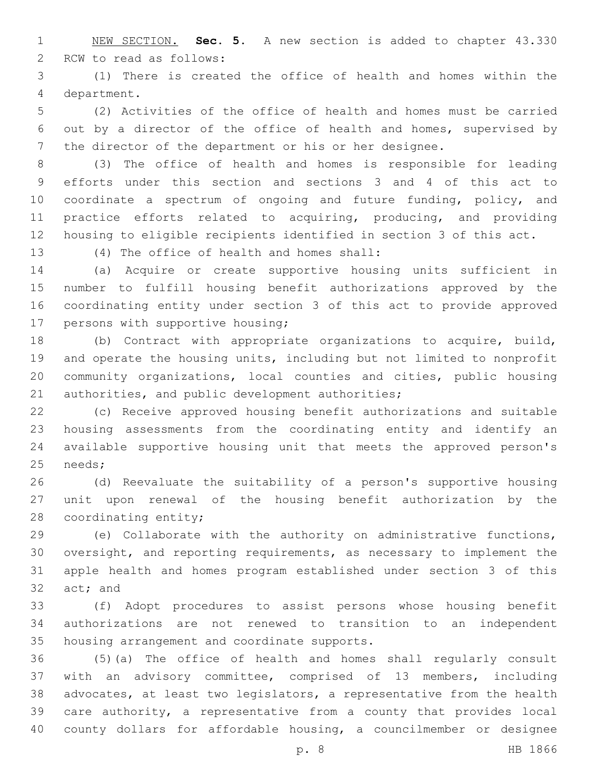NEW SECTION. **Sec. 5.** A new section is added to chapter 43.330 2 RCW to read as follows:

 (1) There is created the office of health and homes within the department.4

 (2) Activities of the office of health and homes must be carried out by a director of the office of health and homes, supervised by the director of the department or his or her designee.

 (3) The office of health and homes is responsible for leading efforts under this section and sections 3 and 4 of this act to coordinate a spectrum of ongoing and future funding, policy, and 11 practice efforts related to acquiring, producing, and providing housing to eligible recipients identified in section 3 of this act.

13 (4) The office of health and homes shall:

 (a) Acquire or create supportive housing units sufficient in number to fulfill housing benefit authorizations approved by the coordinating entity under section 3 of this act to provide approved 17 persons with supportive housing;

 (b) Contract with appropriate organizations to acquire, build, and operate the housing units, including but not limited to nonprofit community organizations, local counties and cities, public housing 21 authorities, and public development authorities;

 (c) Receive approved housing benefit authorizations and suitable housing assessments from the coordinating entity and identify an available supportive housing unit that meets the approved person's 25 needs;

 (d) Reevaluate the suitability of a person's supportive housing unit upon renewal of the housing benefit authorization by the 28 coordinating entity;

 (e) Collaborate with the authority on administrative functions, oversight, and reporting requirements, as necessary to implement the apple health and homes program established under section 3 of this 32 act; and

 (f) Adopt procedures to assist persons whose housing benefit authorizations are not renewed to transition to an independent 35 housing arrangement and coordinate supports.

 (5)(a) The office of health and homes shall regularly consult with an advisory committee, comprised of 13 members, including advocates, at least two legislators, a representative from the health care authority, a representative from a county that provides local county dollars for affordable housing, a councilmember or designee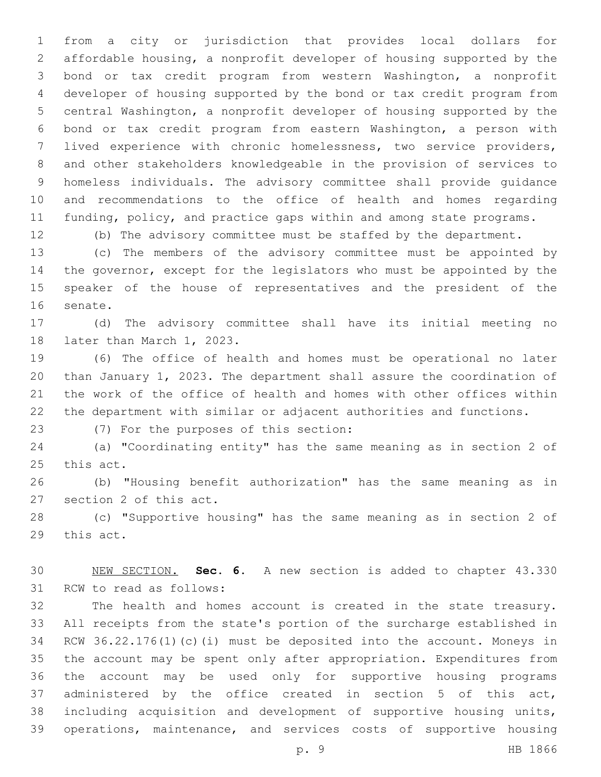from a city or jurisdiction that provides local dollars for affordable housing, a nonprofit developer of housing supported by the bond or tax credit program from western Washington, a nonprofit developer of housing supported by the bond or tax credit program from central Washington, a nonprofit developer of housing supported by the bond or tax credit program from eastern Washington, a person with lived experience with chronic homelessness, two service providers, and other stakeholders knowledgeable in the provision of services to homeless individuals. The advisory committee shall provide guidance and recommendations to the office of health and homes regarding 11 funding, policy, and practice gaps within and among state programs.

(b) The advisory committee must be staffed by the department.

 (c) The members of the advisory committee must be appointed by the governor, except for the legislators who must be appointed by the speaker of the house of representatives and the president of the 16 senate.

 (d) The advisory committee shall have its initial meeting no 18 later than March 1, 2023.

 (6) The office of health and homes must be operational no later than January 1, 2023. The department shall assure the coordination of the work of the office of health and homes with other offices within the department with similar or adjacent authorities and functions.

(7) For the purposes of this section:23

 (a) "Coordinating entity" has the same meaning as in section 2 of 25 this act.

 (b) "Housing benefit authorization" has the same meaning as in 27 section 2 of this act.

 (c) "Supportive housing" has the same meaning as in section 2 of 29 this act.

 NEW SECTION. **Sec. 6.** A new section is added to chapter 43.330 31 RCW to read as follows:

 The health and homes account is created in the state treasury. All receipts from the state's portion of the surcharge established in RCW 36.22.176(1)(c)(i) must be deposited into the account. Moneys in the account may be spent only after appropriation. Expenditures from the account may be used only for supportive housing programs administered by the office created in section 5 of this act, including acquisition and development of supportive housing units, operations, maintenance, and services costs of supportive housing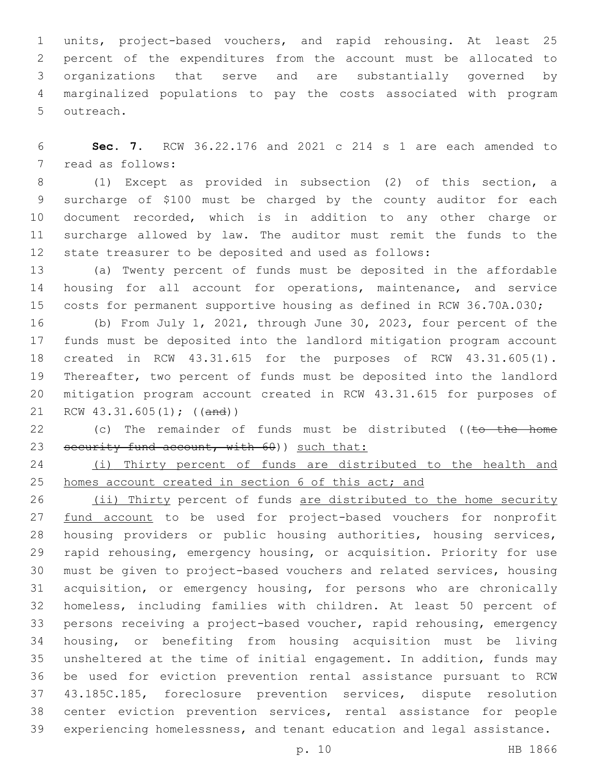units, project-based vouchers, and rapid rehousing. At least 25 percent of the expenditures from the account must be allocated to organizations that serve and are substantially governed by marginalized populations to pay the costs associated with program 5 outreach.

 **Sec. 7.** RCW 36.22.176 and 2021 c 214 s 1 are each amended to 7 read as follows:

 (1) Except as provided in subsection (2) of this section, a surcharge of \$100 must be charged by the county auditor for each document recorded, which is in addition to any other charge or surcharge allowed by law. The auditor must remit the funds to the state treasurer to be deposited and used as follows:

 (a) Twenty percent of funds must be deposited in the affordable housing for all account for operations, maintenance, and service costs for permanent supportive housing as defined in RCW 36.70A.030;

 (b) From July 1, 2021, through June 30, 2023, four percent of the funds must be deposited into the landlord mitigation program account created in RCW 43.31.615 for the purposes of RCW 43.31.605(1). Thereafter, two percent of funds must be deposited into the landlord mitigation program account created in RCW 43.31.615 for purposes of RCW 43.31.605(1); ((and))

22 (c) The remainder of funds must be distributed ((to the home 23 security fund account, with 60) such that:

 (i) Thirty percent of funds are distributed to the health and homes account created in section 6 of this act; and

26 (ii) Thirty percent of funds are distributed to the home security 27 fund account to be used for project-based vouchers for nonprofit housing providers or public housing authorities, housing services, rapid rehousing, emergency housing, or acquisition. Priority for use must be given to project-based vouchers and related services, housing acquisition, or emergency housing, for persons who are chronically homeless, including families with children. At least 50 percent of persons receiving a project-based voucher, rapid rehousing, emergency housing, or benefiting from housing acquisition must be living unsheltered at the time of initial engagement. In addition, funds may be used for eviction prevention rental assistance pursuant to RCW 43.185C.185, foreclosure prevention services, dispute resolution center eviction prevention services, rental assistance for people experiencing homelessness, and tenant education and legal assistance.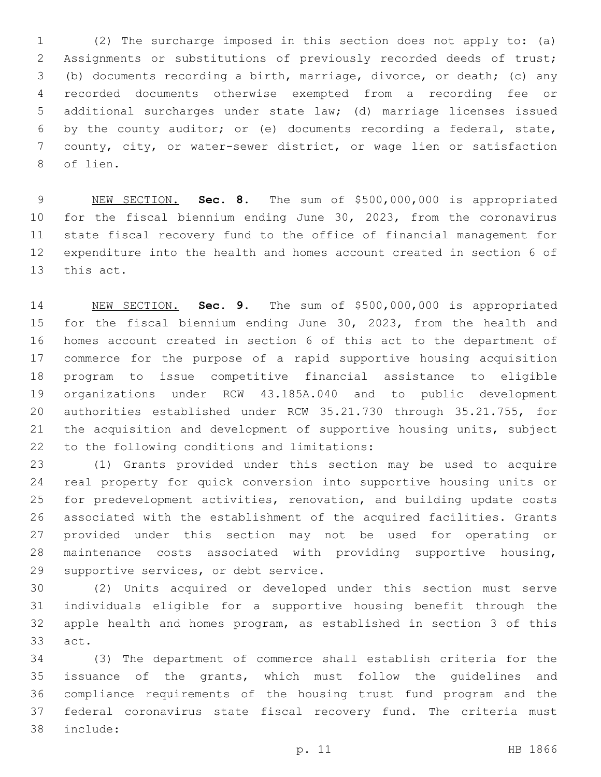(2) The surcharge imposed in this section does not apply to: (a) Assignments or substitutions of previously recorded deeds of trust; (b) documents recording a birth, marriage, divorce, or death; (c) any recorded documents otherwise exempted from a recording fee or additional surcharges under state law; (d) marriage licenses issued by the county auditor; or (e) documents recording a federal, state, county, city, or water-sewer district, or wage lien or satisfaction 8 of lien.

 NEW SECTION. **Sec. 8.** The sum of \$500,000,000 is appropriated for the fiscal biennium ending June 30, 2023, from the coronavirus state fiscal recovery fund to the office of financial management for expenditure into the health and homes account created in section 6 of this act.

 NEW SECTION. **Sec. 9.** The sum of \$500,000,000 is appropriated for the fiscal biennium ending June 30, 2023, from the health and homes account created in section 6 of this act to the department of commerce for the purpose of a rapid supportive housing acquisition program to issue competitive financial assistance to eligible organizations under RCW 43.185A.040 and to public development authorities established under RCW 35.21.730 through 35.21.755, for the acquisition and development of supportive housing units, subject to the following conditions and limitations:

 (1) Grants provided under this section may be used to acquire real property for quick conversion into supportive housing units or for predevelopment activities, renovation, and building update costs associated with the establishment of the acquired facilities. Grants provided under this section may not be used for operating or maintenance costs associated with providing supportive housing, 29 supportive services, or debt service.

 (2) Units acquired or developed under this section must serve individuals eligible for a supportive housing benefit through the apple health and homes program, as established in section 3 of this 33 act.

 (3) The department of commerce shall establish criteria for the issuance of the grants, which must follow the guidelines and compliance requirements of the housing trust fund program and the federal coronavirus state fiscal recovery fund. The criteria must include:38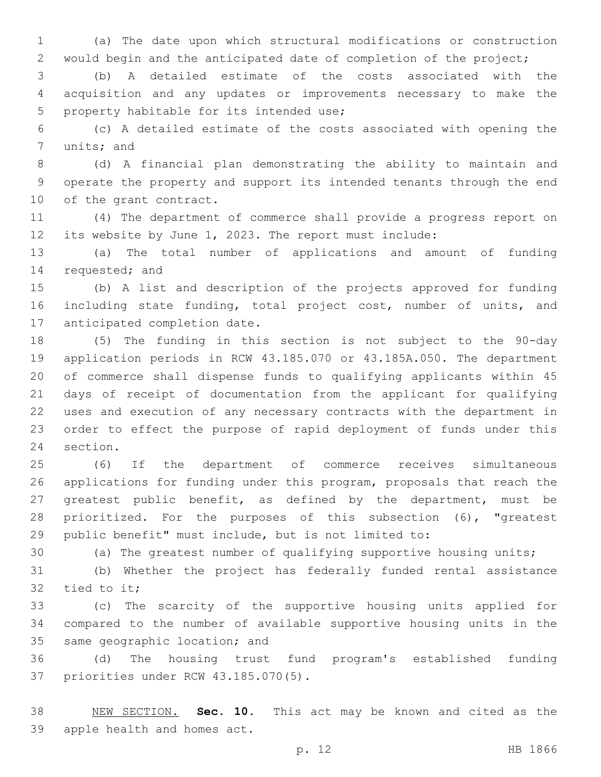(a) The date upon which structural modifications or construction would begin and the anticipated date of completion of the project;

 (b) A detailed estimate of the costs associated with the acquisition and any updates or improvements necessary to make the 5 property habitable for its intended use;

 (c) A detailed estimate of the costs associated with opening the 7 units; and

 (d) A financial plan demonstrating the ability to maintain and operate the property and support its intended tenants through the end 10 of the grant contract.

 (4) The department of commerce shall provide a progress report on its website by June 1, 2023. The report must include:

 (a) The total number of applications and amount of funding 14 requested; and

 (b) A list and description of the projects approved for funding 16 including state funding, total project cost, number of units, and 17 anticipated completion date.

 (5) The funding in this section is not subject to the 90-day application periods in RCW 43.185.070 or 43.185A.050. The department of commerce shall dispense funds to qualifying applicants within 45 days of receipt of documentation from the applicant for qualifying uses and execution of any necessary contracts with the department in order to effect the purpose of rapid deployment of funds under this 24 section.

 (6) If the department of commerce receives simultaneous applications for funding under this program, proposals that reach the greatest public benefit, as defined by the department, must be prioritized. For the purposes of this subsection (6), "greatest public benefit" must include, but is not limited to:

(a) The greatest number of qualifying supportive housing units;

 (b) Whether the project has federally funded rental assistance tied to it;

 (c) The scarcity of the supportive housing units applied for compared to the number of available supportive housing units in the 35 same geographic location; and

 (d) The housing trust fund program's established funding 37 priorities under RCW 43.185.070(5).

 NEW SECTION. **Sec. 10.** This act may be known and cited as the apple health and homes act.